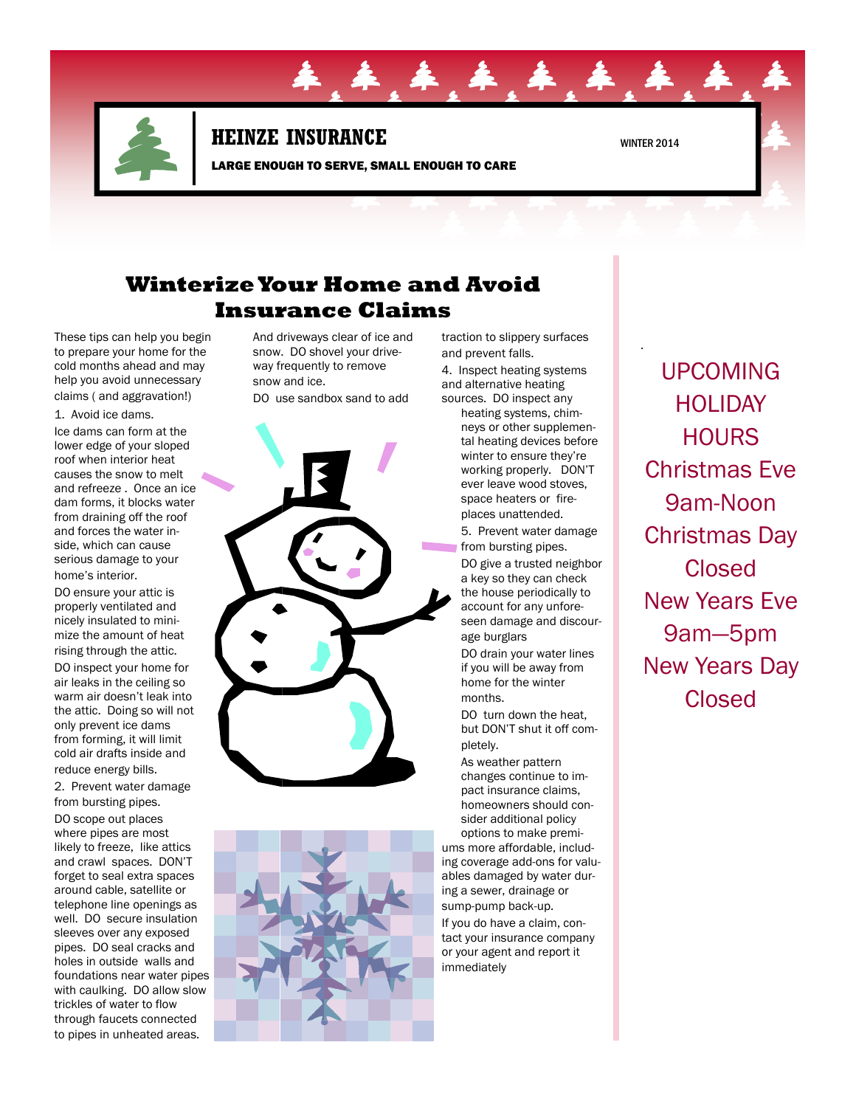

## **HEINZE INSURANCE** WINTER 2014

LARGE ENOUGH TO SERVE, SMALL ENOUGH TO CARE

**年 车 车 车 车** 

.

# **Winterize Your Home and Avoid Insurance Claims**

These tips can help you begin to prepare your home for the cold months ahead and may help you avoid unnecessary claims ( and aggravation!)

1. Avoid ice dams.

Ice dams can form at the lower edge of your sloped roof when interior heat causes the snow to melt and refreeze . Once an ice dam forms, it blocks water from draining off the roof and forces the water inside, which can cause serious damage to your home's interior.

DO ensure your attic is properly ventilated and nicely insulated to minimize the amount of heat rising through the attic. DO inspect your home for air leaks in the ceiling so warm air doesn't leak into the attic. Doing so will not only prevent ice dams from forming, it will limit cold air drafts inside and reduce energy bills.

2. Prevent water damage from bursting pipes. DO scope out places where pipes are most

likely to freeze, like attics and crawl spaces. DON'T forget to seal extra spaces around cable, satellite or telephone line openings as well. DO secure insulation sleeves over any exposed pipes. DO seal cracks and holes in outside walls and foundations near water pipes with caulking. DO allow slow trickles of water to flow through faucets connected to pipes in unheated areas.

And driveways clear of ice and snow. DO shovel your driveway frequently to remove snow and ice. DO use sandbox sand to add





traction to slippery surfaces and prevent falls.

4. Inspect heating systems and alternative heating sources. DO inspect any

heating systems, chimneys or other supplemental heating devices before winter to ensure they're working properly. DON'T ever leave wood stoves, space heaters or fireplaces unattended.

5. Prevent water damage from bursting pipes.

DO give a trusted neighbor a key so they can check the house periodically to account for any unforeseen damage and discourage burglars

DO drain your water lines if you will be away from home for the winter months.

DO turn down the heat, but DON'T shut it off completely.

As weather pattern changes continue to impact insurance claims, homeowners should consider additional policy

options to make premiums more affordable, including coverage add-ons for valuables damaged by water during a sewer, drainage or sump-pump back-up.

If you do have a claim, contact your insurance company or your agent and report it immediately

UPCOMING **HOLIDAY HOURS** Christmas Eve 9am-Noon Christmas Day Closed New Years Eve 9am—5pm New Years Day Closed